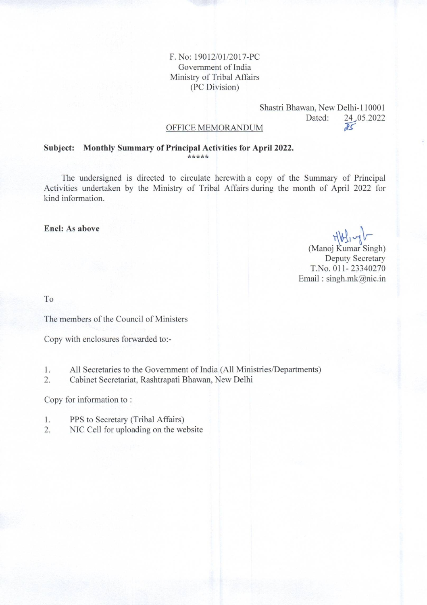#### F. No: 19012/01/2017-PC Government of India Ministry of Tribal Affairs (PC Division)

#### Shastri Bhawan, New Delhi-110001 Dated: 24,05.2022  $\overline{25}$

#### OFFICE MEMORANDUM

#### Subject: Monthly Summary of Principal Activities for April 2022. \*\*\*\*\*

The undersigned is directed to circulate herewith a copy of the Summary of Principal Activities undertaken by the Ministry of Tribal Affairs during the month of April 2022 for kind information.

#### Encl: As above

Abling (Manoj Kumar Singh)

**Deputy Secretary** T.No. 011-23340270 Email:  $singh.mk@nic.in$ 

To

The members of the Council of Ministers

Copy with enclosures forwarded to:-

All Secretaries to the Government of India (All Ministries/Departments) 1.

2. Cabinet Secretariat, Rashtrapati Bhawan, New Delhi

Copy for information to:

- 1. PPS to Secretary (Tribal Affairs)
- $2.$ NIC Cell for uploading on the website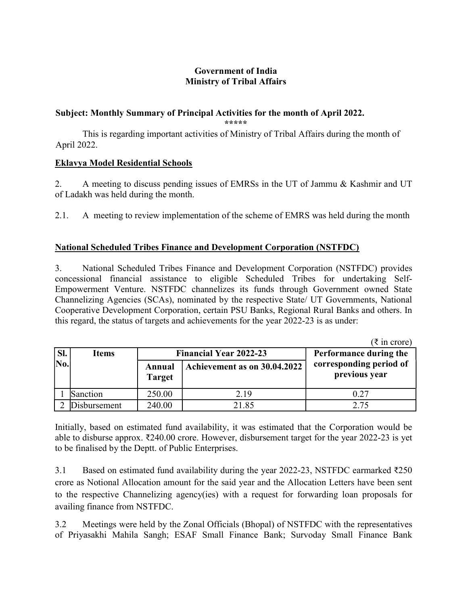## Government of India Ministry of Tribal Affairs

## Subject: Monthly Summary of Principal Activities for the month of April 2022.

\*\*\*\*\*

 This is regarding important activities of Ministry of Tribal Affairs during the month of April 2022.

### Eklavya Model Residential Schools

2. A meeting to discuss pending issues of EMRSs in the UT of Jammu & Kashmir and UT of Ladakh was held during the month.

2.1. A meeting to review implementation of the scheme of EMRS was held during the month

## National Scheduled Tribes Finance and Development Corporation (NSTFDC)

3. National Scheduled Tribes Finance and Development Corporation (NSTFDC) provides concessional financial assistance to eligible Scheduled Tribes for undertaking Self-Empowerment Venture. NSTFDC channelizes its funds through Government owned State Channelizing Agencies (SCAs), nominated by the respective State/ UT Governments, National Cooperative Development Corporation, certain PSU Banks, Regional Rural Banks and others. In this regard, the status of targets and achievements for the year 2022-23 is as under:

 $(7 \text{ in } \text{core})$ 

| SI. | <b>Items</b> | <b>Financial Year 2022-23</b> |                              | $\lambda$ in vivivi<br>Performance during the |
|-----|--------------|-------------------------------|------------------------------|-----------------------------------------------|
| No. |              | Annual<br><b>Target</b>       | Achievement as on 30.04.2022 | corresponding period of<br>previous year      |
|     | Sanction     | 250.00                        | 2.19                         | 0.27                                          |
|     | Disbursement | 240.00                        | 21.85                        | 2.75                                          |

Initially, based on estimated fund availability, it was estimated that the Corporation would be able to disburse approx. ₹240.00 crore. However, disbursement target for the year 2022-23 is yet to be finalised by the Deptt. of Public Enterprises.

3.1 Based on estimated fund availability during the year 2022-23, NSTFDC earmarked ₹250 crore as Notional Allocation amount for the said year and the Allocation Letters have been sent to the respective Channelizing agency(ies) with a request for forwarding loan proposals for availing finance from NSTFDC.

3.2 Meetings were held by the Zonal Officials (Bhopal) of NSTFDC with the representatives of Priyasakhi Mahila Sangh; ESAF Small Finance Bank; Survoday Small Finance Bank